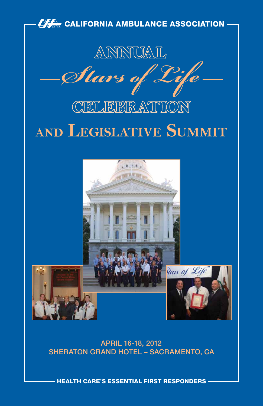

APRIL 16-18, 2012 SHERATON GRAND HOTEL - SACRAMENTO, CA

hEALTh CARE'S ESSENTIAL FIRST RESpONdERS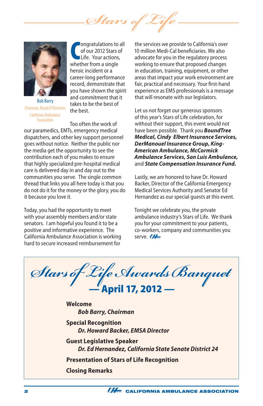*Stars of Life*



Bob Barry Chairman, Board of Directors California Ambulance **Accoriation** 

**COMPANDING CONTROVER SIDE CONTROLLET CONTROVER SIDE CONTROLLET SIDE CONTROVER SIDE CONTROVER SIDE CONTROLLET CONTROVER SIDE CONTROLLET CONTROLLET CONTROLLET CONTROLLET CONTROLLET CONTROLLET CONTROLLET CONTROLLET CONTROLLE** ongratulations to all of our 2012 Stars of Life. Your actions, heroic incident or a career-long performance record, demonstrate that you have shown the spirit and commitment that it takes to be the best of the best.

Too often the work of our paramedics, EMTs, emergency medical dispatchers, and other key support personnel goes without notice. Neither the public nor the media get the opportunity to see the contribution each of you makes to ensure that highly specialized pre-hospital medical care is delivered day in and day out to the communities you serve. The single common thread that links you all here today is that you do not do it for the money or the glory, you do it because you love it.

Today, you had the opportunity to meet with your assembly members and/or state senators. I am hopeful you found it to be a positive and informative experience. The California Ambulance Association is working hard to secure increased reimbursement for

the services we provide to California's over 10 million Medi-Cal beneficiaries. We also advocate for you in the regulatory process working to ensure that proposed changes in education, training, equipment, or other areas that impact your work environment are fair, practical and necessary. Your first-hand experience as EMS professionals is a message that will resonate with our legislators.

Let us not forget our generous sponsors of this year's Stars of Life celebration, for without their support, this event would not have been possible. Thank you *BoundTree Medical, Cindy Elbert Insurance Services, DerManouel Insurance Group, King-American Ambulance, McCormick Ambulance Services, San Luis Ambulance,*  and *State Compensation Insurance Fund.*

Lastly, we are honored to have Dr. Howard Backer, Director of the California Emergency Medical Services Authority and Senator Ed Hernandez as our special guests at this event.

Tonight we celebrate you, the private ambulance industry's Stars of Life. We thank you for your commitment to your patients, co-workers, company and communities you serve. A

*Stars of Life Awards Banquet* — April 17, 2012 — **Welcome** *Bob Barry, Chairman* **Special Recognition** *Dr. Howard Backer, EMSA Director* **Guest Legislative Speaker** *Dr. Ed Hernandez, California State Senate District 24* **Presentation of Stars of Life Recognition Closing Remarks**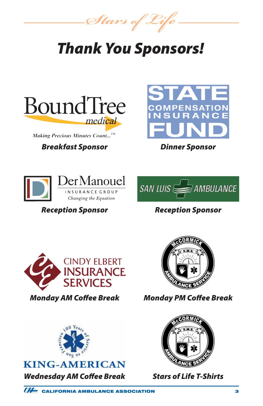*Stars of Life*

# *Thank You Sponsors!*



Making Precious Minutes Count...<sup>TM</sup>

## *Breakfast Sponsor Dinner Sponsor*







# *Reception Sponsor Reception Sponsor*





*Monday AM Coffee Break Monday PM Coffee Break*



# **KING-AMERICAN** *Wednesday AM Coffee Break Stars of Life T-Shirts*

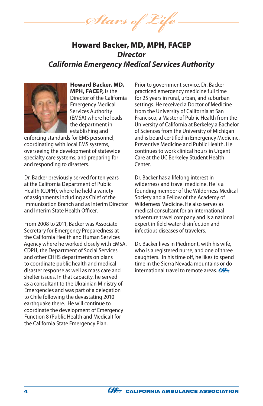Stars of 2

# Howard Backer, MD, MPH, FACEP *Director California Emergency Medical Services Authority*



**Howard Backer, MD, MPH, FACEP,** is the Director of the California Emergency Medical Services Authority (EMSA) where he leads the department in establishing and

enforcing standards for EMS personnel, coordinating with local EMS systems, overseeing the development of statewide specialty care systems, and preparing for and responding to disasters.

Dr. Backer previously served for ten years at the California Department of Public Health (CDPH), where he held a variety of assignments including as Chief of the Immunization Branch and as Interim Director and Interim State Health Officer.

From 2008 to 2011, Backer was Associate Secretary for Emergency Preparedness at the California Health and Human Services Agency where he worked closely with EMSA, CDPH, the Department of Social Services and other CHHS departments on plans to coordinate public health and medical disaster response as well as mass care and shelter issues. In that capacity, he served as a consultant to the Ukrainian Ministry of Emergencies and was part of a delegation to Chile following the devastating 2010 earthquake there. He will continue to coordinate the development of Emergency Function 8 (Public Health and Medical) for the California State Emergency Plan.

Prior to government service, Dr. Backer practiced emergency medicine full time for 25 years in rural, urban, and suburban settings. He received a Doctor of Medicine from the University of California at San Francisco, a Master of Public Health from the University of California at Berkeley,a Bachelor of Sciences from the University of Michigan and is board certified in Emergency Medicine, Preventive Medicine and Public Health. He continues to work clinical hours in Urgent Care at the UC Berkeley Student Health Center.

Dr. Backer has a lifelong interest in wilderness and travel medicine. He is a founding member of the Wilderness Medical Society and a Fellow of the Academy of Wilderness Medicine. He also serves as medical consultant for an international adventure travel company and is a national expert in field water disinfection and infectious diseases of travelers.

Dr. Backer lives in Piedmont, with his wife, who is a registered nurse, and one of three daughters. In his time off, he likes to spend time in the Sierra Nevada mountains or do international travel to remote areas.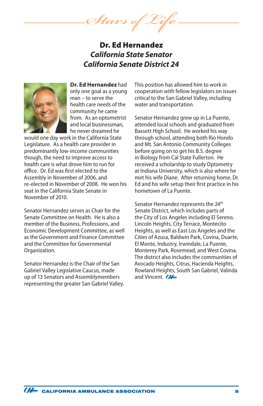*Stars of Life*

# Dr. Ed Hernandez *California State Senator California Senate District 24*



**Dr. Ed Hernandez** had only one goal as a young man – to serve the health care needs of the community he came from. As an optometrist and local businessman, he never dreamed he

would one day work in the California State Legislature. As a health care provider in predominantly low-income communities though, the need to improve access to health care is what drove him to run for office. Dr. Ed was first elected to the Assembly in November of 2006, and re-elected in November of 2008. He won his seat in the California State Senate in November of 2010.

Senator Hernandez serves as Chair for the Senate Committee on Health. He is also a member of the Business, Professions, and Economic Development Committee, as well as the Government and Finance Committee and the Committee for Governmental Organization.

Senator Hernandez is the Chair of the San Gabriel Valley Legislative Caucus, made up of 13 Senators and Assemblymembers representing the greater San Gabriel Valley. This position has allowed him to work in cooperation with fellow legislators on issues critical to the San Gabriel Valley, including water and transportation.

Senator Hernandez grew up in La Puente, attended local schools and graduated from Bassett High School. He worked his way through school, attending both Rio Hondo and Mt. San Antonio Community Colleges before going on to get his B.S. degree in Biology from Cal State Fullerton. He received a scholarship to study Optometry at Indiana University, which is also where he met his wife Diane. After returning home, Dr. Ed and his wife setup their first practice in his hometown of La Puente.

Senator Hernandez represents the 24<sup>th</sup> Senate District, which includes parts of the City of Los Angeles including El Sereno, Lincoln Heights, City Terrace, Montecito Heights, as well as East Los Angeles and the Cities of Azusa, Baldwin Park, Covina, Duarte, El Monte, Industry, Irwindale, La Puente, Monterey Park, Rosemead, and West Covina. The district also includes the communities of Avocado Heights, Citrus, Hacienda Heights, Rowland Heights, South San Gabriel, Valinda and Vincent. **CALL**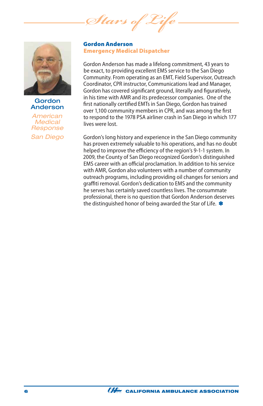*Stars* 



Gordon Anderson

*American Medical Response San Diego*

#### Gordon Anderson Emergency Medical Dispatcher

Gordon Anderson has made a lifelong commitment, 43 years to be exact, to providing excellent EMS service to the San Diego Community. From operating as an EMT, Field Supervisor, Outreach Coordinator, CPR instructor, Communications lead and Manager, Gordon has covered significant ground, literally and figuratively, in his time with AMR and its predecessor companies. One of the first nationally certified EMTs in San Diego, Gordon has trained over 1,100 community members in CPR, and was among the first to respond to the 1978 PSA airliner crash in San Diego in which 177 lives were lost.

Gordon's long history and experience in the San Diego community has proven extremely valuable to his operations, and has no doubt helped to improve the efficiency of the region's 9-1-1 system. In 2009, the County of San Diego recognized Gordon's distinguished EMS career with an official proclamation. In addition to his service with AMR, Gordon also volunteers with a number of community outreach programs, including providing oil changes for seniors and graffiti removal. Gordon's dedication to EMS and the community he serves has certainly saved countless lives. The consummate professional, there is no question that Gordon Anderson deserves the distinguished honor of being awarded the Star of Life. \*

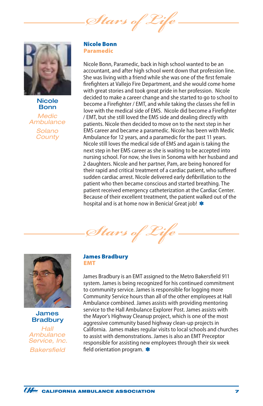Stars of



**Nicole** Bonn

*Medic Ambulance Solano County*

#### Nicole Bonn Paramedic

Nicole Bonn, Paramedic, back in high school wanted to be an accountant, and after high school went down that profession line. She was living with a friend while she was one of the first female firefighters at Vallejo Fire Department, and she would come home with great stories and took great pride in her profession. Nicole decided to make a career change and she started to go to school to become a Firefighter / EMT, and while taking the classes she fell in love with the medical side of EMS. Nicole did become a Firefighter / EMT, but she still loved the EMS side and dealing directly with patients. Nicole then decided to move on to the next step in her EMS career and became a paramedic. Nicole has been with Medic Ambulance for 12 years, and a paramedic for the past 11 years. Nicole still loves the medical side of EMS and again is taking the next step in her EMS career as she is waiting to be accepted into nursing school. For now, she lives in Sonoma with her husband and 2 daughters. Nicole and her partner, Pam, are being honored for their rapid and critical treatment of a cardiac patient, who suffered sudden cardiac arrest. Nicole delivered early defibrillation to the patient who then became conscious and started breathing. The patient received emergency catheterization at the Cardiac Center. Because of their excellent treatment, the patient walked out of the hospital and is at home now in Benicia! Great job! \*

Stars of



James **Bradbury** 

*Hall Ambulance Service, Inc. Bakersfield*

#### James Bradbury EMT

James Bradbury is an EMT assigned to the Metro Bakersfield 911 system. James is being recognized for his continued commitment to community service. James is responsible for logging more Community Service hours than all of the other employees at Hall Ambulance combined. James assists with providing mentoring service to the Hall Ambulance Explorer Post. James assists with the Mayor's Highway Cleanup project, which is one of the most aggressive community based highway clean-up projects in California. James makes regular visits to local schools and churches to assist with demonstrations. James is also an EMT Preceptor responsible for assisting new employees through their six week field orientation program. **\*** 

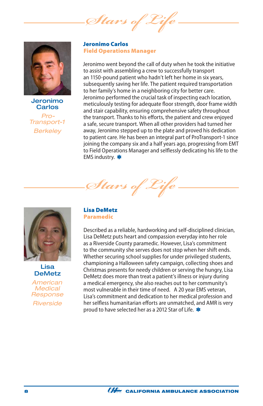*Stars of* 



Jeronimo Carlos *Pro-Transport-1 Berkeley*

Jeronimo Carlos Field Operations Manager

Jeronimo went beyond the call of duty when he took the initiative to assist with assembling a crew to successfully transport an 1150-pound patient who hadn't left her home in six years, subsequently saving her life. The patient required transportation to her family's home in a neighboring city for better care. Jeronimo performed the crucial task of inspecting each location, meticulously testing for adequate floor strength, door frame width and stair capability, ensuring comprehensive safety throughout the transport. Thanks to his efforts, the patient and crew enjoyed a safe, secure transport. When all other providers had turned her away, Jeronimo stepped up to the plate and proved his dedication to patient care. He has been an integral part of ProTransport-1 since joining the company six and a half years ago, progressing from EMT to Field Operations Manager and selflessly dedicating his life to the EMS industry. \*



Lisa DeMetz

*American Medical Response Riverside* 

#### Lisa DeMetz Paramedic

*Stars of Life*

Described as a reliable, hardworking and self-disciplined clinician, Lisa DeMetz puts heart and compassion everyday into her role as a Riverside County paramedic. However, Lisa's commitment to the community she serves does not stop when her shift ends. Whether securing school supplies for under privileged students, championing a Halloween safety campaign, collecting shoes and Christmas presents for needy children or serving the hungry, Lisa DeMetz does more than treat a patient's illness or injury during a medical emergency, she also reaches out to her community's most vulnerable in their time of need. A 20 year EMS veteran, Lisa's commitment and dedication to her medical profession and her selfless humanitarian efforts are unmatched, and AMR is very proud to have selected her as a 2012 Star of Life.

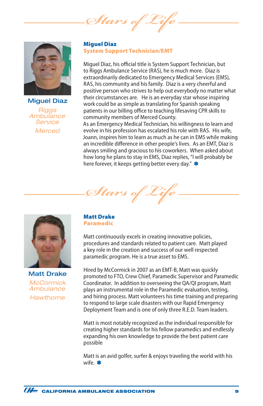*Stars of Life*



Miguel Diaz *Riggs Ambulance Service Merced*

#### Miguel Diaz System Support Technician/EMT

Miguel Diaz, his official title is System Support Technician, but to Riggs Ambulance Service (RAS), he is much more. Diaz is extraordinarily dedicated to Emergency Medical Services (EMS), RAS, his community and his family. Diaz is a very cheerful and positive person who strives to help out everybody no matter what their circumstances are. He is an everyday star whose inspiring work could be as simple as translating for Spanish speaking patients in our billing office to teaching lifesaving CPR skills to community members of Merced County.

As an Emergency Medical Technician, his willingness to learn and evolve in his profession has escalated his role with RAS. His wife, Joann, inspires him to learn as much as he can in EMS while making an incredible difference in other people's lives. As an EMT, Diaz is always smiling and gracious to his coworkers. When asked about how long he plans to stay in EMS, Diaz replies, "I will probably be here forever, it keeps getting better every day." \*



Matt Drake *McCormick Ambulance Hawthorne*

#### Matt Drake Paramedic

*Stars of Life*

Matt continuously excels in creating innovative policies, procedures and standards related to patient care. Matt played a key role in the creation and success of our well respected paramedic program. He is a true asset to EMS.

Hired by McCormick in 2007 as an EMT-B, Matt was quickly promoted to FTO, Crew Chief, Paramedic Supervisor and Paramedic Coordinator. In addition to overseeing the QA/QI program, Matt plays an instrumental role in the Paramedic evaluation, testing, and hiring process. Matt volunteers his time training and preparing to respond to large scale disasters with our Rapid Emergency Deployment Team and is one of only three R.E.D. Team leaders.

Matt is most notably recognized as the individual responsible for creating higher standards for his fellow paramedics and endlessly expanding his own knowledge to provide the best patient care possible

Matt is an avid golfer, surfer & enjoys traveling the world with his wife. \*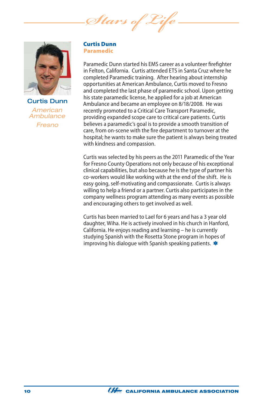*Stars of Life*



Curtis Dunn *American Ambulance Fresno*

#### Curtis Dunn Paramedic

Paramedic Dunn started his EMS career as a volunteer firefighter in Felton, California. Curtis attended ETS in Santa Cruz where he completed Paramedic training. After hearing about internship opportunities at American Ambulance, Curtis moved to Fresno and completed the last phase of paramedic school. Upon getting his state paramedic license, he applied for a job at American Ambulance and became an employee on 8/18/2008. He was recently promoted to a Critical Care Transport Paramedic, providing expanded scope care to critical care patients. Curtis believes a paramedic's goal is to provide a smooth transition of care, from on-scene with the fire department to turnover at the hospital; he wants to make sure the patient is always being treated with kindness and compassion.

Curtis was selected by his peers as the 2011 Paramedic of the Year for Fresno County Operations not only because of his exceptional clinical capabilities, but also because he is the type of partner his co-workers would like working with at the end of the shift. He is easy going, self-motivating and compassionate. Curtis is always willing to help a friend or a partner. Curtis also participates in the company wellness program attending as many events as possible and encouraging others to get involved as well.

Curtis has been married to Lael for 6 years and has a 3 year old daughter, Wiha. He is actively involved in his church in Hanford, California. He enjoys reading and learning – he is currently studying Spanish with the Rosetta Stone program in hopes of improving his dialogue with Spanish speaking patients. \*

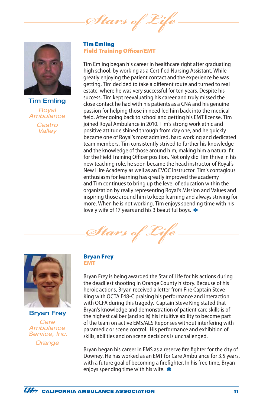Stars of



Tim Emling *Royal Ambulance Castro Valley*

Tim Emling Field Training Officer/EMT

Tim Emling began his career in healthcare right after graduating high school, by working as a Certified Nursing Assistant. While greatly enjoying the patient contact and the experience he was getting, Tim decided to take a different route and turned to real estate, where he was very successful for ten years. Despite his success, Tim kept reevaluating his career and truly missed the close contact he had with his patients as a CNA and his genuine passion for helping those in need led him back into the medical field. After going back to school and getting his EMT license, Tim joined Royal Ambulance in 2010. Tim's strong work ethic and positive attitude shined through from day one, and he quickly became one of Royal's most admired, hard working and dedicated team members. Tim consistently strived to further his knowledge and the knowledge of those around him, making him a natural fit for the Field Training Officer position. Not only did Tim thrive in his new teaching role, he soon became the head instructor of Royal's New Hire Academy as well as an EVOC instructor. Tim's contagious enthusiasm for learning has greatly improved the academy and Tim continues to bring up the level of education within the organization by really representing Royal's Mission and Values and inspiring those around him to keep learning and always striving for more. When he is not working, Tim enjoys spending time with his lovely wife of 17 years and his 3 beautiful boys. \*

*Stars of Life*



Bryan Frey *Care Ambulance Service, Inc.*

*Orange*

#### Bryan Frey EMT

Bryan Frey is being awarded the Star of Life for his actions during the deadliest shooting in Orange County history. Because of his heroic actions, Bryan received a letter from Fire Captain Steve King with OCTA E48-C praising his performance and interaction with OCFA during this tragedy. Captain Steve King stated that Bryan's knowledge and demonstration of patient care skills is of the highest caliber (and so is) his intuitive ability to become part of the team on active EMS/ALS Reponses without interfering with paramedic or scene control. His performance and exhibition of skills, abilities and on scene decisions is unchallenged.

Bryan began his career in EMS as a reserve fire fighter for the city of Downey. He has worked as an EMT for Care Ambulance for 3.5 years, with a future goal of becoming a firefighter. In his free time, Bryan enjoys spending time with his wife.  $\clubsuit$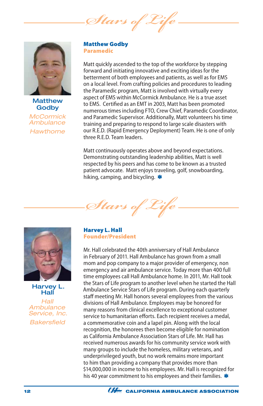Stars of



**Matthew Godby** *McCormick Ambulance Hawthorne*

#### Matthew Godby Paramedic

Matt quickly ascended to the top of the workforce by stepping forward and initiating innovative and exciting ideas for the betterment of both employees and patients, as well as for EMS on a local level. From crafting policies and procedures to leading the Paramedic program, Matt is involved with virtually every aspect of EMS within McCormick Ambulance. He is a true asset to EMS. Certified as an EMT in 2003, Matt has been promoted numerous times including FTO, Crew Chief, Paramedic Coordinator, and Paramedic Supervisor. Additionally, Matt volunteers his time training and preparing to respond to large scale disasters with our R.E.D. (Rapid Emergency Deployment) Team. He is one of only three R.E.D. Team leaders.

Matt continuously operates above and beyond expectations. Demonstrating outstanding leadership abilities, Matt is well respected by his peers and has come to be known as a trusted patient advocate. Matt enjoys traveling, golf, snowboarding, hiking, camping, and bicycling.  $\ast$ 





Harvey L. Hall

*Hall Ambulance Service, Inc. Bakersfield*

#### Harvey L. Hall Founder/President

Mr. Hall celebrated the 40th anniversary of Hall Ambulance in February of 2011. Hall Ambulance has grown from a small mom and pop company to a major provider of emergency, non emergency and air ambulance service. Today more than 400 full time employees call Hall Ambulance home. In 2011, Mr. Hall took the Stars of Life program to another level when he started the Hall Ambulance Service Stars of Life program. During each quarterly staff meeting Mr. Hall honors several employees from the various divisions of Hall Ambulance. Employees may be honored for many reasons from clinical excellence to exceptional customer service to humanitarian efforts. Each recipient receives a medal, a commemorative coin and a lapel pin. Along with the local recognition, the honorees then become eligible for nomination as California Ambulance Association Stars of Life. Mr. Hall has received numerous awards for his community service work with many groups to include the homeless, military veterans, and underprivileged youth, but no work remains more important to him than providing a company that provides more than \$14,000,000 in income to his employees. Mr. Hall is recognized for his 40 year commitment to his employees and their families. \*

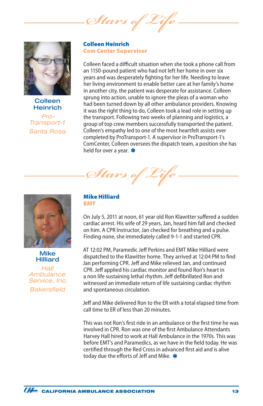*Stars of* 



**Colleen** Heinrich

*Pro-Transport-1 Santa Rosa* Colleen Heinrich Com Center Supervisor

Colleen faced a difficult situation when she took a phone call from an 1150-pound patient who had not left her home in over six years and was desperately fighting for her life. Needing to leave her living environment to enable better care at her family's home in another city, the patient was desperate for assistance. Colleen sprung into action, unable to ignore the pleas of a woman who had been turned down by all other ambulance providers. Knowing it was the right thing to do, Colleen took a lead role in setting up the transport. Following two weeks of planning and logistics, a group of top crew members successfully transported the patient. Colleen's empathy led to one of the most heartfelt assists ever completed by ProTransport-1. A supervisor in ProTransport-1's ComCenter, Colleen oversees the dispatch team, a position she has held for over a year. \*

*Stars of Life*



Mike Hilliard

*Hall Ambulance Service, Inc. Bakersfield*

Mike Hilliard EMT

On July 5, 2011 at noon, 61 year old Ron Klawitter suffered a sudden cardiac arrest. His wife of 29 years, Jan, heard him fall and checked on him. A CPR Instructor, Jan checked for breathing and a pulse. Finding none, she immediately called 9-1-1 and started CPR.

AT 12:02 PM, Paramedic Jeff Perkins and EMT Mike Hilliard were dispatched to the Klawitter home. They arrived at 12:04 PM to find Jan performing CPR. Jeff and Mike relieved Jan, and continued CPR. Jeff applied his cardiac monitor and found Ron's heart in a non life sustaining lethal rhythm. Jeff defibrillated Ron and witnessed an immediate return of life sustaining cardiac rhythm and spontaneous circulation.

Jeff and Mike delivered Ron to the ER with a total elapsed time from call time to ER of less than 20 minutes.

This was not Ron's first ride in an ambulance or the first time he was involved in CPR. Ron was one of the first Ambulance Attendants Harvey Hall hired to work at Hall Ambulance in the 1970s. This was before EMT's and Paramedics, as we have in the field today. He was certified through the Red Cross in advanced first aid and is alive today due the efforts of Jeff and Mike. \*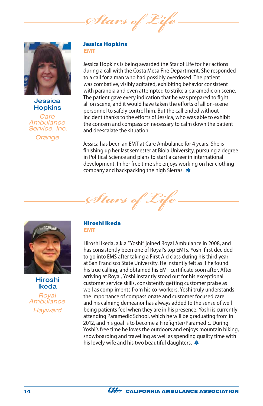Stars of



Jessica **Hopkins** 

*Care Ambulance Service, Inc.*

*Orange*

#### Jessica Hopkins EMT

Jessica Hopkins is being awarded the Star of Life for her actions during a call with the Costa Mesa Fire Department. She responded to a call for a man who had possibly overdosed. The patient was combative, visibly agitated, exhibiting behavior consistent with paranoia and even attempted to strike a paramedic on scene. The patient gave every indication that he was prepared to fight all on scene, and it would have taken the efforts of all on-scene personnel to safely control him. But the call ended without incident thanks to the efforts of Jessica, who was able to exhibit the concern and compassion necessary to calm down the patient and deescalate the situation.

Jessica has been an EMT at Care Ambulance for 4 years. She is finishing up her last semester at Biola University, pursuing a degree in Political Science and plans to start a career in international development. In her free time she enjoys working on her clothing company and backpacking the high Sierras. \*





Hiroshi Ikeda

*Royal Ambulance Hayward*

#### Hiroshi Ikeda EMT

Hiroshi Ikeda, a.k.a "Yoshi" joined Royal Ambulance in 2008, and has consistently been one of Royal's top EMTs. Yoshi first decided to go into EMS after taking a First Aid class during his third year at San Francisco State University. He instantly felt as if he found his true calling, and obtained his EMT certificate soon after. After arriving at Royal, Yoshi instantly stood out for his exceptional customer service skills, consistently getting customer praise as well as compliments from his co-workers. Yoshi truly understands the importance of compassionate and customer focused care and his calming demeanor has always added to the sense of well being patients feel when they are in his presence. Yoshi is currently attending Paramedic School, which he will be graduating from in 2012, and his goal is to become a Firefighter/Paramedic. During Yoshi's free time he loves the outdoors and enjoys mountain biking, snowboarding and travelling as well as spending quality time with his lovely wife and his two beautiful daughters. \*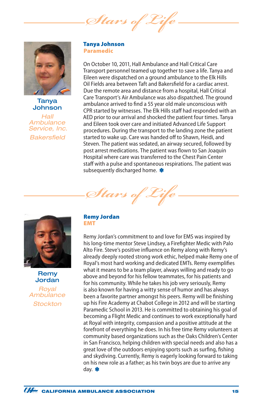Stars of



Tanya **Johnson** 

*Hall Ambulance Service, Inc. Bakersfield*

#### Tanya Johnson Paramedic

On October 10, 2011, Hall Ambulance and Hall Critical Care Transport personnel teamed up together to save a life. Tanya and Eileen were dispatched on a ground ambulance to the Elk Hills Oil Fields area between Taft and Bakersfield for a cardiac arrest. Due the remote area and distance from a hospital, Hall Critical Care Transport's Air Ambulance was also dispatched. The ground ambulance arrived to find a 55 year old male unconscious with CPR started by witnesses. The Elk Hills staff had responded with an AED prior to our arrival and shocked the patient four times. Tanya and Eileen took over care and initiated Advanced Life Support procedures. During the transport to the landing zone the patient started to wake up. Care was handed off to Shawn, Heidi, and Steven. The patient was sedated, an airway secured, followed by post arrest medications. The patient was flown to San Joaquin Hospital where care was transferred to the Chest Pain Center staff with a pulse and spontaneous respirations. The patient was subsequently discharged home. \*



Remy Jordan *Royal Ambulance Stockton*

#### Remy Jordan EMT

Stars of

Remy Jordan's commitment to and love for EMS was inspired by his long-time mentor Steve Lindsey, a Firefighter Medic with Palo Alto Fire. Steve's positive influence on Remy along with Remy's already deeply rooted strong work ethic, helped make Remy one of Royal's most hard working and dedicated EMTs. Remy exemplifies what it means to be a team player, always willing and ready to go above and beyond for his fellow teammates, for his patients and for his community. While he takes his job very seriously, Remy is also known for having a witty sense of humor and has always been a favorite partner amongst his peers. Remy will be finishing up his Fire Academy at Chabot College in 2012 and will be starting Paramedic School in 2013. He is committed to obtaining his goal of becoming a Flight Medic and continues to work exceptionally hard at Royal with integrity, compassion and a positive attitude at the forefront of everything he does. In his free time Remy volunteers at community based organizations such as the Oaks Children's Center in San Francisco, helping children with special needs and also has a great love of the outdoors enjoying sports such as surfing, fishing and skydiving. Currently, Remy is eagerly looking forward to taking on his new role as a father; as his twin boys are due to arrive any day. \*

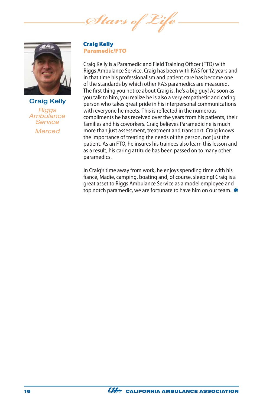*Stars of Life*



Craig Kelly *Riggs Ambulance Service Merced*

#### Craig Kelly Paramedic/FTO

Craig Kelly is a Paramedic and Field Training Officer (FTO) with Riggs Ambulance Service. Craig has been with RAS for 12 years and in that time his professionalism and patient care has become one of the standards by which other RAS paramedics are measured. The first thing you notice about Craig is, he's a big guy! As soon as you talk to him, you realize he is also a very empathetic and caring person who takes great pride in his interpersonal communications with everyone he meets. This is reflected in the numerous compliments he has received over the years from his patients, their families and his coworkers. Craig believes Paramedicine is much more than just assessment, treatment and transport. Craig knows the importance of treating the needs of the person, not just the patient. As an FTO, he insures his trainees also learn this lesson and as a result, his caring attitude has been passed on to many other paramedics.

In Craig's time away from work, he enjoys spending time with his fiancé, Madie, camping, boating and, of course, sleeping! Craig is a great asset to Riggs Ambulance Service as a model employee and top notch paramedic, we are fortunate to have him on our team.

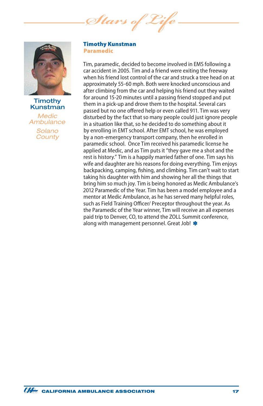*Stars of Life*



#### **Timothy** Kunstman

*Medic Ambulance Solano County*

#### Timothy Kunstman Paramedic

Tim, paramedic, decided to become involved in EMS following a car accident in 2005. Tim and a friend were exiting the freeway when his friend lost control of the car and struck a tree head on at approximately 55-60 mph. Both were knocked unconscious and after climbing from the car and helping his friend out they waited for around 15-20 minutes until a passing friend stopped and put them in a pick-up and drove them to the hospital. Several cars passed but no one offered help or even called 911. Tim was very disturbed by the fact that so many people could just ignore people in a situation like that, so he decided to do something about it by enrolling in EMT school. After EMT school, he was employed by a non-emergency transport company, then he enrolled in paramedic school. Once Tim received his paramedic license he applied at Medic, and as Tim puts it "they gave me a shot and the rest is history." Tim is a happily married father of one. Tim says his wife and daughter are his reasons for doing everything. Tim enjoys backpacking, camping, fishing, and climbing. Tim can't wait to start taking his daughter with him and showing her all the things that bring him so much joy. Tim is being honored as Medic Ambulance's 2012 Paramedic of the Year. Tim has been a model employee and a mentor at Medic Ambulance, as he has served many helpful roles, such as Field Training Officer/ Preceptor throughout the year. As the Paramedic of the Year winner, Tim will receive an all expenses paid trip to Denver, CO, to attend the ZOLL Summit conference, along with management personnel. Great Job! \*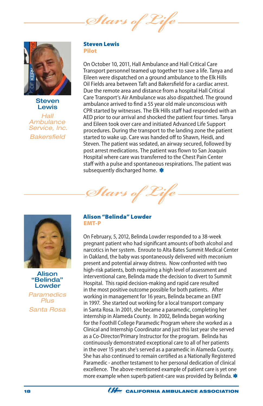Stars of



**Steven Lewis** 

*Hall Ambulance Service, Inc. Bakersfield*

#### Steven Lewis Pilot

On October 10, 2011, Hall Ambulance and Hall Critical Care Transport personnel teamed up together to save a life. Tanya and Eileen were dispatched on a ground ambulance to the Elk Hills Oil Fields area between Taft and Bakersfield for a cardiac arrest. Due the remote area and distance from a hospital Hall Critical Care Transport's Air Ambulance was also dispatched. The ground ambulance arrived to find a 55 year old male unconscious with CPR started by witnesses. The Elk Hills staff had responded with an AED prior to our arrival and shocked the patient four times. Tanya and Eileen took over care and initiated Advanced Life Support procedures. During the transport to the landing zone the patient started to wake up. Care was handed off to Shawn, Heidi, and Steven. The patient was sedated, an airway secured, followed by post arrest medications. The patient was flown to San Joaquin Hospital where care was transferred to the Chest Pain Center staff with a pulse and spontaneous respirations. The patient was subsequently discharged home.



Alison "Belinda" Lowder

*Paramedics Plus Santa Rosa*

#### Alison "Belinda" Lowder EMT-P

*Stars of Life*

On February, 5, 2012, Belinda Lowder responded to a 38-week pregnant patient who had significant amounts of both alcohol and narcotics in her system. Enroute to Alta Bates Summit Medical Center in Oakland, the baby was spontaneously delivered with meconium present and potential airway distress. Now confronted with two high-risk patients, both requiring a high level of assessment and interventional care, Belinda made the decision to divert to Summit Hospital. This rapid decision-making and rapid care resulted in the most positive outcome possible for both patients. After working in management for 16 years, Belinda became an EMT in 1997. She started out working for a local transport company in Santa Rosa. In 2001, she became a paramedic, completing her internship in Alameda County. In 2002, Belinda began working for the Foothill College Paramedic Program where she worked as a Clinical and Internship Coordinator and just this last year she served as a Co-Director/Primary Instructor for the program. Belinda has continuously demonstrated exceptional care to all of her patients in the over 15 years she's served as a paramedic in Alameda County. She has also continued to remain certified as a Nationally Registered Paramedic - another testament to her personal dedication of clinical excellence. The above-mentioned example of patient care is yet one more example when superb patient-care was provided by Belinda. \*

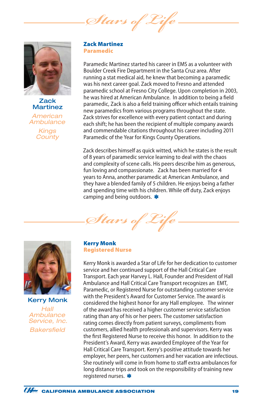*Stars of Life*



**Zack** Martinez

*American Ambulance Kings County*

#### Zack Martinez Paramedic

Paramedic Martinez started his career in EMS as a volunteer with Boulder Creek Fire Department in the Santa Cruz area. After running a stat medical aid, he knew that becoming a paramedic was his next career goal. Zack moved to Fresno and attended paramedic school at Fresno City College. Upon completion in 2003, he was hired at American Ambulance. In addition to being a field paramedic, Zack is also a field training officer which entails training new paramedics from various programs throughout the state. Zack strives for excellence with every patient contact and during each shift; he has been the recipient of multiple company awards and commendable citations throughout his career including 2011 Paramedic of the Year for Kings County Operations.

Zack describes himself as quick witted, which he states is the result of 8 years of paramedic service learning to deal with the chaos and complexity of scene calls. His peers describe him as generous, fun loving and compassionate. Zack has been married for 4 years to Anna, another paramedic at American Ambulance, and they have a blended family of 5 children. He enjoys being a father and spending time with his children. While off duty, Zack enjoys camping and being outdoors. \*



Kerry Monk *Hall Ambulance Service, Inc. Bakersfield*

#### Kerry Monk Registered Nurse

Stars of

Kerry Monk is awarded a Star of Life for her dedication to customer service and her continued support of the Hall Critical Care Transport. Each year Harvey L. Hall, Founder and President of Hall Ambulance and Hall Critical Care Transport recognizes an EMT, Paramedic, or Registered Nurse for outstanding customer service with the President's Award for Customer Service. The award is considered the highest honor for any Hall employee. The winner of the award has received a higher customer service satisfaction rating than any of his or her peers. The customer satisfaction rating comes directly from patient surveys, compliments from customers, allied health professionals and supervisors. Kerry was the first Registered Nurse to receive this honor. In addition to the President's Award, Kerry was awarded Employee of the Year for Hall Critical Care Transport. Kerry's positive attitude towards her employer, her peers, her customers and her vacation are infectious. She routinely will come in from home to staff extra ambulances for long distance trips and took on the responsibility of training new registered nurses. **\***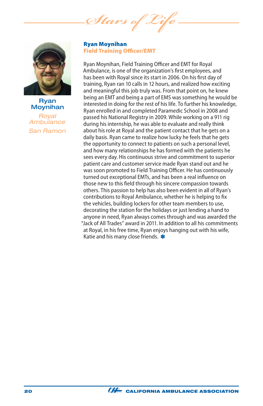*Stars of Life*



### Ryan Moynihan

*Royal Ambulance San Ramon*

#### Ryan Moynihan Field Training Officer/EMT

Ryan Moynihan, Field Training Officer and EMT for Royal Ambulance, is one of the organization's first employees, and has been with Royal since its start in 2006. On his first day of training, Ryan ran 10 calls in 12 hours, and realized how exciting and meaningful this job truly was. From that point on, he knew being an EMT and being a part of EMS was something he would be interested in doing for the rest of his life. To further his knowledge, Ryan enrolled in and completed Paramedic School in 2008 and passed his National Registry in 2009. While working on a 911 rig during his internship, he was able to evaluate and really think about his role at Royal and the patient contact that he gets on a daily basis. Ryan came to realize how lucky he feels that he gets the opportunity to connect to patients on such a personal level, and how many relationships he has formed with the patients he sees every day. His continuous strive and commitment to superior patient care and customer service made Ryan stand out and he was soon promoted to Field Training Officer. He has continuously turned out exceptional EMTs, and has been a real influence on those new to this field through his sincere compassion towards others. This passion to help has also been evident in all of Ryan's contributions to Royal Ambulance, whether he is helping to fix the vehicles, building lockers for other team members to use, decorating the station for the holidays or just lending a hand to anyone in need, Ryan always comes through and was awarded the "Jack of All Trades" award in 2011. In addition to all his commitments at Royal, in his free time, Ryan enjoys hanging out with his wife, Katie and his many close friends. \*

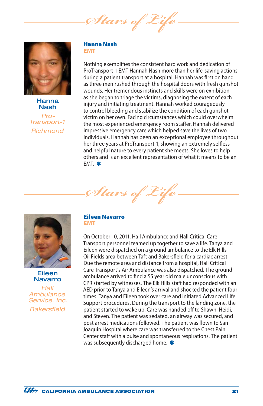Stars of



Hanna Nash

*Pro-Transport-1 Richmond*

#### Hanna Nash EMT

Nothing exemplifies the consistent hard work and dedication of ProTransport-1 EMT Hannah Nash more than her life-saving actions during a patient transport at a hospital. Hannah was first on hand as three men rushed through the hospital doors with fresh gunshot wounds. Her tremendous instincts and skills were on exhibition as she began to triage the victims, diagnosing the extent of each injury and initiating treatment. Hannah worked courageously to control bleeding and stabilize the condition of each gunshot victim on her own. Facing circumstances which could overwhelm the most experienced emergency room staffer, Hannah delivered impressive emergency care which helped save the lives of two individuals. Hannah has been an exceptional employee throughout her three years at ProTransport-1, showing an extremely selfless and helpful nature to every patient she meets. She loves to help others and is an excellent representation of what it means to be an FMT. \*



Eileen Navarro

*Hall Ambulance Service, Inc. Bakersfield*

#### Eileen Navarro EMT

*Stars* 

On October 10, 2011, Hall Ambulance and Hall Critical Care Transport personnel teamed up together to save a life. Tanya and Eileen were dispatched on a ground ambulance to the Elk Hills Oil Fields area between Taft and Bakersfield for a cardiac arrest. Due the remote area and distance from a hospital, Hall Critical Care Transport's Air Ambulance was also dispatched. The ground ambulance arrived to find a 55 year old male unconscious with CPR started by witnesses. The Elk Hills staff had responded with an AED prior to Tanya and Eileen's arrival and shocked the patient four times. Tanya and Eileen took over care and initiated Advanced Life Support procedures. During the transport to the landing zone, the patient started to wake up. Care was handed off to Shawn, Heidi, and Steven. The patient was sedated, an airway was secured, and post arrest medications followed. The patient was flown to San Joaquin Hospital where care was transferred to the Chest Pain Center staff with a pulse and spontaneous respirations. The patient was subsequently discharged home. \*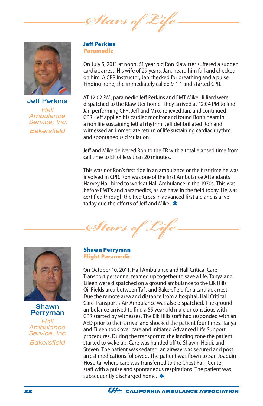Stars of



Jeff Perkins *Hall Ambulance Service, Inc. Bakersfield*

#### Jeff Perkins Paramedic

On July 5, 2011 at noon, 61 year old Ron Klawitter suffered a sudden cardiac arrest. His wife of 29 years, Jan, heard him fall and checked on him. A CPR Instructor, Jan checked for breathing and a pulse. Finding none, she immediately called 9-1-1 and started CPR.

AT 12:02 PM, paramedic Jeff Perkins and EMT Mike Hilliard were dispatched to the Klawitter home. They arrived at 12:04 PM to find Jan performing CPR. Jeff and Mike relieved Jan, and continued CPR. Jeff applied his cardiac monitor and found Ron's heart in a non life sustaining lethal rhythm. Jeff defibrillated Ron and witnessed an immediate return of life sustaining cardiac rhythm and spontaneous circulation.

Jeff and Mike delivered Ron to the ER with a total elapsed time from call time to ER of less than 20 minutes.

This was not Ron's first ride in an ambulance or the first time he was involved in CPR. Ron was one of the first Ambulance Attendants Harvey Hall hired to work at Hall Ambulance in the 1970s. This was before EMT's and paramedics, as we have in the field today. He was certified through the Red Cross in advanced first aid and is alive today due the efforts of Jeff and Mike. \*

Stars of 2



Shawn Perryman

*Hall Ambulance Service, Inc. Bakersfield*

Shawn Perryman Flight Paramedic

On October 10, 2011, Hall Ambulance and Hall Critical Care Transport personnel teamed up together to save a life. Tanya and Eileen were dispatched on a ground ambulance to the Elk Hills Oil Fields area between Taft and Bakersfield for a cardiac arrest. Due the remote area and distance from a hospital, Hall Critical Care Transport's Air Ambulance was also dispatched. The ground ambulance arrived to find a 55 year old male unconscious with CPR started by witnesses. The Elk Hills staff had responded with an AED prior to their arrival and shocked the patient four times. Tanya and Eileen took over care and initiated Advanced Life Support procedures. During the transport to the landing zone the patient started to wake up. Care was handed off to Shawn, Heidi, and Steven. The patient was sedated, an airway was secured and post arrest medications followed. The patient was flown to San Joaquin Hospital where care was transferred to the Chest Pain Center staff with a pulse and spontaneous respirations. The patient was subsequently discharged home. \*

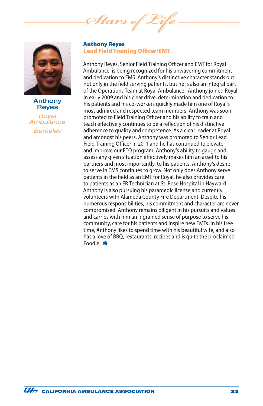*Stars* of



Anthony **Reyes** *Royal Ambulance Berkeley*

#### Anthony Reyes Lead Field Training Officer/EMT

Anthony Reyes, Senior Field Training Officer and EMT for Royal Ambulance, is being recognized for his unwavering commitment and dedication to EMS. Anthony's distinctive character stands out not only in the field serving patients, but he is also an integral part of the Operations Team at Royal Ambulance. Anthony joined Royal in early 2009 and his clear drive, determination and dedication to his patients and his co-workers quickly made him one of Royal's most admired and respected team members. Anthony was soon promoted to Field Training Officer and his ability to train and teach effectively continues to be a reflection of his distinctive adherence to quality and competence. As a clear leader at Royal and amongst his peers, Anthony was promoted to Senior Lead Field Training Officer in 2011 and he has continued to elevate and improve our FTO program. Anthony's ability to gauge and assess any given situation effectively makes him an asset to his partners and most importantly, to his patients. Anthony's desire to serve in EMS continues to grow. Not only does Anthony serve patients in the field as an EMT for Royal, he also provides care to patients as an ER Technician at St. Rose Hospital in Hayward. Anthony is also pursuing his paramedic license and currently volunteers with Alameda County Fire Department. Despite his numerous responsibilities, his commitment and character are never compromised. Anthony remains diligent in his pursuits and values and carries with him an ingrained sense of purpose to serve his community, care for his patients and inspire new EMTs. In his free time, Anthony likes to spend time with his beautiful wife, and also has a love of BBQ, restaurants, recipes and is quite the proclaimed Foodie. \*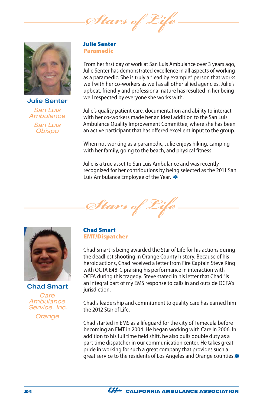*Stars of* 



Julie Senter *San Luis Ambulance San Luis Obispo*

#### Julie Senter Paramedic

From her first day of work at San Luis Ambulance over 3 years ago, Julie Senter has demonstrated excellence in all aspects of working as a paramedic. She is truly a "lead by example" person that works well with her co-workers as well as all other allied agencies. Julie's upbeat, friendly and professional nature has resulted in her being well respected by everyone she works with.

Julie's quality patient care, documentation and ability to interact with her co-workers made her an ideal addition to the San Luis Ambulance Quality Improvement Committee, where she has been an active participant that has offered excellent input to the group.

When not working as a paramedic, Julie enjoys hiking, camping with her family, going to the beach, and physical fitness.

Julie is a true asset to San Luis Ambulance and was recently recognized for her contributions by being selected as the 2011 San Luis Ambulance Employee of the Year. \*

Stars of 2



Chad Smart *Care Ambulance Service, Inc. Orange*

#### Chad Smart EMT/Dispatcher

Chad Smart is being awarded the Star of Life for his actions during the deadliest shooting in Orange County history. Because of his heroic actions, Chad received a letter from Fire Captain Steve King with OCTA E48-C praising his performance in interaction with OCFA during this tragedy. Steve stated in his letter that Chad "is an integral part of my EMS response to calls in and outside OCFA's jurisdiction.

Chad's leadership and commitment to quality care has earned him the 2012 Star of Life

Chad started in EMS as a lifeguard for the city of Temecula before becoming an EMT in 2004. He began working with Care in 2006. In addition to his full time field shift, he also pulls double duty as a part time dispatcher in our communication center. He takes great pride in working for such a great company that provides such a great service to the residents of Los Angeles and Orange counties.\*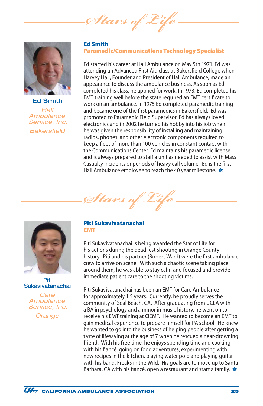Stars of



Ed Smith *Hall Ambulance Service, Inc. Bakersfield*

#### Ed Smith Paramedic/Communications Technology Specialist

Ed started his career at Hall Ambulance on May 5th 1971. Ed was attending an Advanced First Aid class at Bakersfield College when Harvey Hall, Founder and President of Hall Ambulance, made an appearance to discuss the ambulance business. As soon as Ed completed his class, he applied for work. In 1973, Ed completed his EMT training well before the state required an EMT certificate to work on an ambulance. In 1975 Ed completed paramedic training and became one of the first paramedics in Bakersfield. Ed was promoted to Paramedic Field Supervisor. Ed has always loved electronics and in 2002 he turned his hobby into his job when he was given the responsibility of installing and maintaining radios, phones, and other electronic components required to keep a fleet of more than 100 vehicles in constant contact with the Communications Center. Ed maintains his paramedic license and is always prepared to staff a unit as needed to assist with Mass Casualty Incidents or periods of heavy call volume. Ed is the first Hall Ambulance employee to reach the 40 year milestone. \*





*Care Ambulance Service, Inc.*

*Orange*

#### Piti Sukavivatanachai EMT

*Stars of Life*

Piti Sukavivatanachai is being awarded the Star of Life for his actions during the deadliest shooting in Orange County history. Piti and his partner (Robert Ward) were the first ambulance crew to arrive on scene. With such a chaotic scene taking place around them, he was able to stay calm and focused and provide immediate patient care to the shooting victims.

Piti Sukavivatanachai has been an EMT for Care Ambulance for approximately 1.5 years. Currently, he proudly serves the community of Seal Beach, CA. After graduating from UCLA with a BA in psychology and a minor in music history, he went on to receive his EMT training at CIEMT. He wanted to become an EMT to gain medical experience to prepare himself for PA school. He knew he wanted to go into the business of helping people after getting a taste of lifesaving at the age of 7 when he rescued a near-drowning friend. With his free time, he enjoys spending time and cooking with his fiancé, going on food adventures, experimenting with new recipes in the kitchen, playing water polo and playing guitar with his band, Freaks in the Wild. His goals are to move up to Santa Barbara, CA with his fiancé, open a restaurant and start a family. \*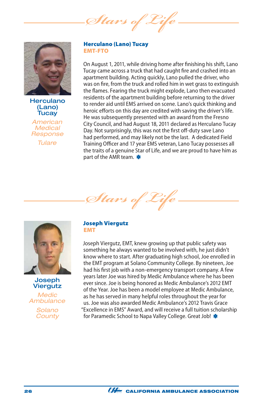*Stars of Life*



**Herculano** (Lano) **Tucay** 

*American Medical Response Tulare*

#### Herculano (Lano) Tucay EMT-FTO

On August 1, 2011, while driving home after finishing his shift, Lano Tucay came across a truck that had caught fire and crashed into an apartment building. Acting quickly, Lano pulled the driver, who was on fire, from the truck and rolled him in wet grass to extinguish the flames. Fearing the truck might explode, Lano then evacuated residents of the apartment building before returning to the driver to render aid until EMS arrived on scene. Lano's quick thinking and heroic efforts on this day are credited with saving the driver's life. He was subsequently presented with an award from the Fresno City Council, and had August 18, 2011 declared as Herculano Tucay Day. Not surprisingly, this was not the first off-duty save Lano had performed, and may likely not be the last. A dedicated Field Training Officer and 17 year EMS veteran, Lano Tucay possesses all the traits of a genuine Star of Life, and we are proud to have him as part of the AMR team. \*





**Joseph** Viergutz



*Solano County*

#### Joseph Viergutz EMT

Joseph Viergutz, EMT, knew growing up that public safety was something he always wanted to be involved with, he just didn't know where to start. After graduating high school, Joe enrolled in the EMT program at Solano Community College. By nineteen, Joe had his first job with a non-emergency transport company. A few years later Joe was hired by Medic Ambulance where he has been ever since. Joe is being honored as Medic Ambulance's 2012 EMT of the Year. Joe has been a model employee at Medic Ambulance, as he has served in many helpful roles throughout the year for us. Joe was also awarded Medic Ambulance's 2012 Travis Grace "Excellence in EMS" Award, and will receive a full tuition scholarship for Paramedic School to Napa Valley College. Great Job! \*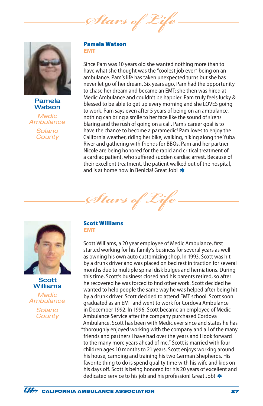Stars of



Pamela **Watson** 

*Medic Ambulance Solano County*

#### Pamela Watson EMT

Since Pam was 10 years old she wanted nothing more than to have what she thought was the "coolest job ever" being on an ambulance. Pam's life has taken unexpected turns but she has never let go of her dream. Six years ago, Pam had the opportunity to chase her dream and became an EMT; she then was hired at Medic Ambulance and couldn't be happier. Pam truly feels lucky & blessed to be able to get up every morning and she LOVES going to work. Pam says even after 5 years of being on an ambulance, nothing can bring a smile to her face like the sound of sirens blaring and the rush of going on a call. Pam's career goal is to have the chance to become a paramedic! Pam loves to enjoy the California weather, riding her bike, walking, hiking along the Yuba River and gathering with friends for BBQs. Pam and her partner Nicole are being honored for the rapid and critical treatment of a cardiac patient, who suffered sudden cardiac arrest. Because of their excellent treatment, the patient walked out of the hospital, and is at home now in Benicia! Great Job! \*





*Medic Ambulance*

> *Solano County*

#### Scott Williams EMT

*Stars of Life*

Scott Williams, a 20 year employee of Medic Ambulance, first started working for his family's business for several years as well as owning his own auto customizing shop. In 1993, Scott was hit by a drunk driver and was placed on bed rest in traction for several months due to multiple spinal disk bulges and herniations. During this time, Scott's business closed and his parents retired, so after he recovered he was forced to find other work. Scott decided he wanted to help people the same way he was helped after being hit by a drunk driver. Scott decided to attend EMT school. Scott soon graduated as an EMT and went to work for Cordova Ambulance in December 1992. In 1996, Scott became an employee of Medic Ambulance Service after the company purchased Cordova Ambulance. Scott has been with Medic ever since and states he has "thoroughly enjoyed working with the company and all of the many friends and partners I have had over the years and I look forward to the many more years ahead of me." Scott is married with four children ages 10 months to 21 years. Scott enjoys working around his house, camping and training his two German Shepherds. His favorite thing to do is spend quality time with his wife and kids on his days off. Scott is being honored for his 20 years of excellent and dedicated service to his job and his profession! Great Job! \*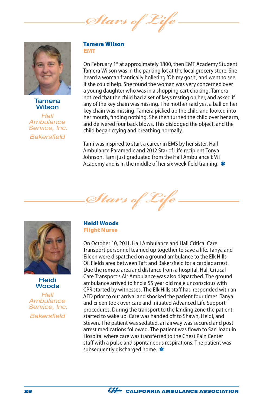*Stars of Life*



Tamera **Wilson** 

*Hall Ambulance Service, Inc. Bakersfield*

#### Tamera Wilson EMT

On February 1<sup>st</sup> at approximately 1800, then EMT Academy Student Tamera Wilson was in the parking lot at the local grocery store. She heard a woman frantically hollering 'Oh my gosh', and went to see if she could help. She found the woman was very concerned over a young daughter who was in a shopping cart choking. Tamera noticed that the child had a set of keys resting on her, and asked if any of the key chain was missing. The mother said yes, a ball on her key chain was missing. Tamera picked up the child and looked into her mouth, finding nothing. She then turned the child over her arm, and delivered four back blows. This dislodged the object, and the child began crying and breathing normally.

Tami was inspired to start a career in EMS by her sister, Hall Ambulance Paramedic and 2012 Star of Life recipient Tonya Johnson. Tami just graduated from the Hall Ambulance EMT Academy and is in the middle of her six week field training.  $*$ 





Heidi **Woods** 

*Hall Ambulance Service, Inc. Bakersfield*

#### Heidi Woods Flight Nurse

On October 10, 2011, Hall Ambulance and Hall Critical Care Transport personnel teamed up together to save a life. Tanya and Eileen were dispatched on a ground ambulance to the Elk Hills Oil Fields area between Taft and Bakersfield for a cardiac arrest. Due the remote area and distance from a hospital, Hall Critical Care Transport's Air Ambulance was also dispatched. The ground ambulance arrived to find a 55 year old male unconscious with CPR started by witnesses. The Elk Hills staff had responded with an AED prior to our arrival and shocked the patient four times. Tanya and Eileen took over care and initiated Advanced Life Support procedures. During the transport to the landing zone the patient started to wake up. Care was handed off to Shawn, Heidi, and Steven. The patient was sedated, an airway was secured and post arrest medications followed. The patient was flown to San Joaquin Hospital where care was transferred to the Chest Pain Center staff with a pulse and spontaneous respirations. The patient was subsequently discharged home. \*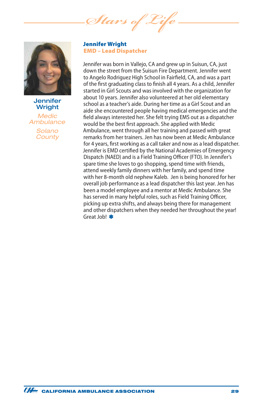*Stars of Life*



**Jennifer** Wright *Medic Ambulance Solano County*

Jennifer Wright EMD – Lead Dispatcher

Jennifer was born in Vallejo, CA and grew up in Suisun, CA, just down the street from the Suisun Fire Department. Jennifer went to Angelo Rodriguez High School in Fairfield, CA, and was a part of the first graduating class to finish all 4 years. As a child, Jennifer started in Girl Scouts and was involved with the organization for about 10 years. Jennifer also volunteered at her old elementary school as a teacher's aide. During her time as a Girl Scout and an aide she encountered people having medical emergencies and the field always interested her. She felt trying EMS out as a dispatcher would be the best first approach. She applied with Medic Ambulance, went through all her training and passed with great remarks from her trainers. Jen has now been at Medic Ambulance for 4 years, first working as a call taker and now as a lead dispatcher. Jennifer is EMD certified by the National Academies of Emergency Dispatch (NAED) and is a Field Training Officer (FTO). In Jennifer's spare time she loves to go shopping, spend time with friends, attend weekly family dinners with her family, and spend time with her 8-month old nephew Kaleb. Jen is being honored for her overall job performance as a lead dispatcher this last year. Jen has been a model employee and a mentor at Medic Ambulance. She has served in many helpful roles, such as Field Training Officer, picking up extra shifts, and always being there for management and other dispatchers when they needed her throughout the year! Great Job! \*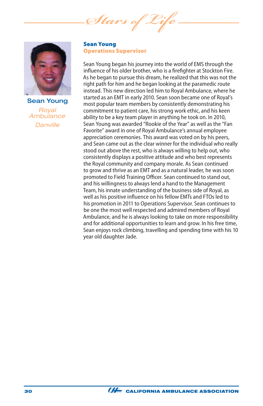*Stars of Life*



Sean Young *Royal Ambulance Danville*

Sean Young Operations Supervisor

Sean Young began his journey into the world of EMS through the influence of his older brother, who is a firefighter at Stockton Fire. As he began to pursue this dream, he realized that this was not the right path for him and he began looking at the paramedic route instead. This new direction led him to Royal Ambulance, where he started as an EMT in early 2010. Sean soon became one of Royal's most popular team members by consistently demonstrating his commitment to patient care, his strong work ethic, and his keen ability to be a key team player in anything he took on. In 2010, Sean Young was awarded "Rookie of the Year" as well as the "Fan Favorite" award in one of Royal Ambulance's annual employee appreciation ceremonies. This award was voted on by his peers, and Sean came out as the clear winner for the individual who really stood out above the rest, who is always willing to help out, who consistently displays a positive attitude and who best represents the Royal community and company morale. As Sean continued to grow and thrive as an EMT and as a natural leader, he was soon promoted to Field Training Officer. Sean continued to stand out, and his willingness to always lend a hand to the Management Team, his innate understanding of the business side of Royal, as well as his positive influence on his fellow EMTs and FTOs led to his promotion in 2011 to Operations Supervisor. Sean continues to be one the most well respected and admired members of Royal Ambulance, and he is always looking to take on more responsibility and for additional opportunities to learn and grow. In his free time, Sean enjoys rock climbing, travelling and spending time with his 10 year old daughter Jade.

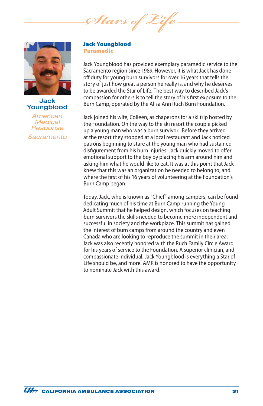*Stars of Life*



### Jack Youngblood

*American Medical Response Sacramento* 

#### Jack Youngblood Paramedic

Jack Youngblood has provided exemplary paramedic service to the Sacramento region since 1989. However, it is what Jack has done off duty for young burn survivors for over 16 years that tells the story of just how great a person he really is, and why he deserves to be awarded the Star of Life. The best way to described Jack's compassion for others is to tell the story of his first exposure to the Burn Camp, operated by the Alisa Ann Ruch Burn Foundation.

Jack joined his wife, Colleen, as chaperons for a ski trip hosted by the Foundation. On the way to the ski resort the couple picked up a young man who was a burn survivor. Before they arrived at the resort they stopped at a local restaurant and Jack noticed patrons beginning to stare at the young man who had sustained disfigurement from his burn injuries. Jack quickly moved to offer emotional support to the boy by placing his arm around him and asking him what he would like to eat. It was at this point that Jack knew that this was an organization he needed to belong to, and where the first of his 16 years of volunteering at the Foundation's Burn Camp began.

Today, Jack, who is known as "Chief" among campers, can be found dedicating much of his time at Burn Camp running the Young Adult Summit that he helped design, which focuses on teaching burn survivors the skills needed to become more independent and successful in society and the workplace. This summit has gained the interest of burn camps from around the country and even Canada who are looking to reproduce the summit in their area. Jack was also recently honored with the Ruch Family Circle Award for his years of service to the Foundation. A superior clinician, and compassionate individual, Jack Youngblood is everything a Star of Life should be, and more. AMR is honored to have the opportunity to nominate Jack with this award.